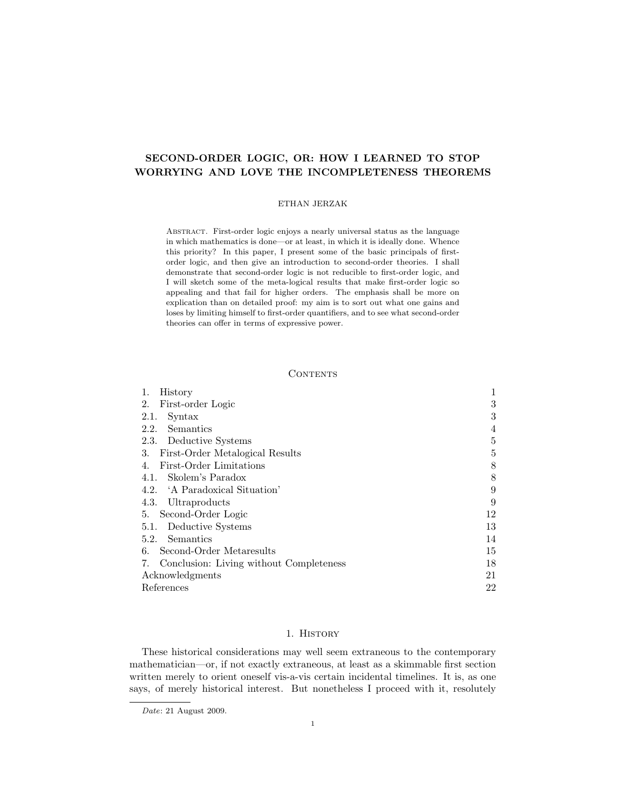#### ETHAN JERZAK

Abstract. First-order logic enjoys a nearly universal status as the language in which mathematics is done—or at least, in which it is ideally done. Whence this priority? In this paper, I present some of the basic principals of firstorder logic, and then give an introduction to second-order theories. I shall demonstrate that second-order logic is not reducible to first-order logic, and I will sketch some of the meta-logical results that make first-order logic so appealing and that fail for higher orders. The emphasis shall be more on explication than on detailed proof: my aim is to sort out what one gains and loses by limiting himself to first-order quantifiers, and to see what second-order theories can offer in terms of expressive power.

#### **CONTENTS**

| 1.<br>History                                 |    |
|-----------------------------------------------|----|
| First-order Logic<br>2.                       | 3  |
| Syntax<br>2.1.                                | 3  |
| Semantics<br>2.2.                             | 4  |
| 2.3. Deductive Systems                        | 5  |
| First-Order Metalogical Results<br>3.         | 5  |
| First-Order Limitations<br>4.                 | 8  |
| 4.1. Skolem's Paradox                         | 8  |
| 4.2. 'A Paradoxical Situation'                | 9  |
| Ultraproducts<br>4.3.                         | 9  |
| Second-Order Logic<br>5.                      | 12 |
| 5.1. Deductive Systems                        | 13 |
| Semantics<br>5.2.                             | 14 |
| Second-Order Metaresults<br>6.                | 15 |
| Conclusion: Living without Completeness<br>7. | 18 |
| Acknowledgments                               | 21 |
| References                                    | 22 |

#### 1. History

These historical considerations may well seem extraneous to the contemporary mathematician—or, if not exactly extraneous, at least as a skimmable first section written merely to orient oneself vis-a-vis certain incidental timelines. It is, as one says, of merely historical interest. But nonetheless I proceed with it, resolutely

Date: 21 August 2009.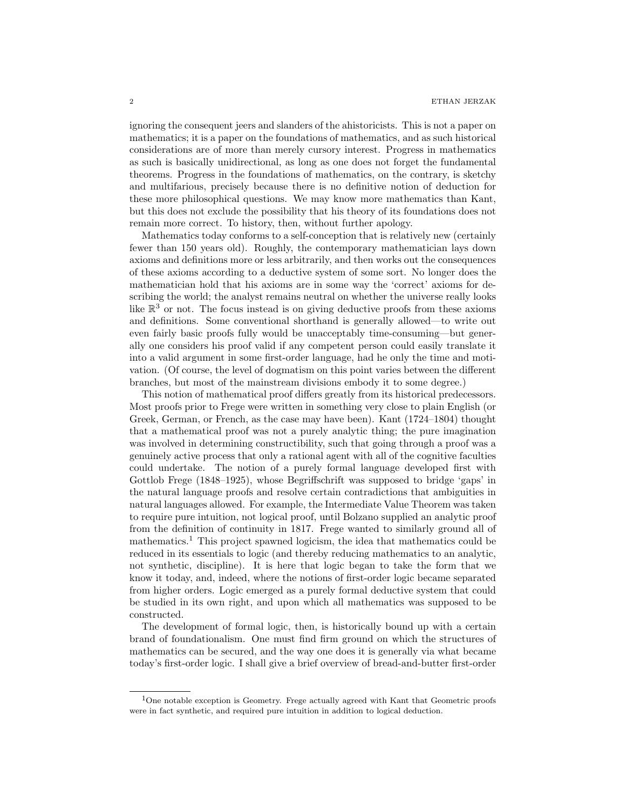ignoring the consequent jeers and slanders of the ahistoricists. This is not a paper on mathematics; it is a paper on the foundations of mathematics, and as such historical considerations are of more than merely cursory interest. Progress in mathematics as such is basically unidirectional, as long as one does not forget the fundamental theorems. Progress in the foundations of mathematics, on the contrary, is sketchy and multifarious, precisely because there is no definitive notion of deduction for these more philosophical questions. We may know more mathematics than Kant, but this does not exclude the possibility that his theory of its foundations does not remain more correct. To history, then, without further apology.

Mathematics today conforms to a self-conception that is relatively new (certainly fewer than 150 years old). Roughly, the contemporary mathematician lays down axioms and definitions more or less arbitrarily, and then works out the consequences of these axioms according to a deductive system of some sort. No longer does the mathematician hold that his axioms are in some way the 'correct' axioms for describing the world; the analyst remains neutral on whether the universe really looks like  $\mathbb{R}^3$  or not. The focus instead is on giving deductive proofs from these axioms and definitions. Some conventional shorthand is generally allowed—to write out even fairly basic proofs fully would be unacceptably time-consuming—but generally one considers his proof valid if any competent person could easily translate it into a valid argument in some first-order language, had he only the time and motivation. (Of course, the level of dogmatism on this point varies between the different branches, but most of the mainstream divisions embody it to some degree.)

This notion of mathematical proof differs greatly from its historical predecessors. Most proofs prior to Frege were written in something very close to plain English (or Greek, German, or French, as the case may have been). Kant (1724–1804) thought that a mathematical proof was not a purely analytic thing; the pure imagination was involved in determining constructibility, such that going through a proof was a genuinely active process that only a rational agent with all of the cognitive faculties could undertake. The notion of a purely formal language developed first with Gottlob Frege (1848–1925), whose Begriffschrift was supposed to bridge 'gaps' in the natural language proofs and resolve certain contradictions that ambiguities in natural languages allowed. For example, the Intermediate Value Theorem was taken to require pure intuition, not logical proof, until Bolzano supplied an analytic proof from the definition of continuity in 1817. Frege wanted to similarly ground all of mathematics.<sup>1</sup> This project spawned logicism, the idea that mathematics could be reduced in its essentials to logic (and thereby reducing mathematics to an analytic, not synthetic, discipline). It is here that logic began to take the form that we know it today, and, indeed, where the notions of first-order logic became separated from higher orders. Logic emerged as a purely formal deductive system that could be studied in its own right, and upon which all mathematics was supposed to be constructed.

The development of formal logic, then, is historically bound up with a certain brand of foundationalism. One must find firm ground on which the structures of mathematics can be secured, and the way one does it is generally via what became today's first-order logic. I shall give a brief overview of bread-and-butter first-order

<sup>&</sup>lt;sup>1</sup>One notable exception is Geometry. Frege actually agreed with Kant that Geometric proofs were in fact synthetic, and required pure intuition in addition to logical deduction.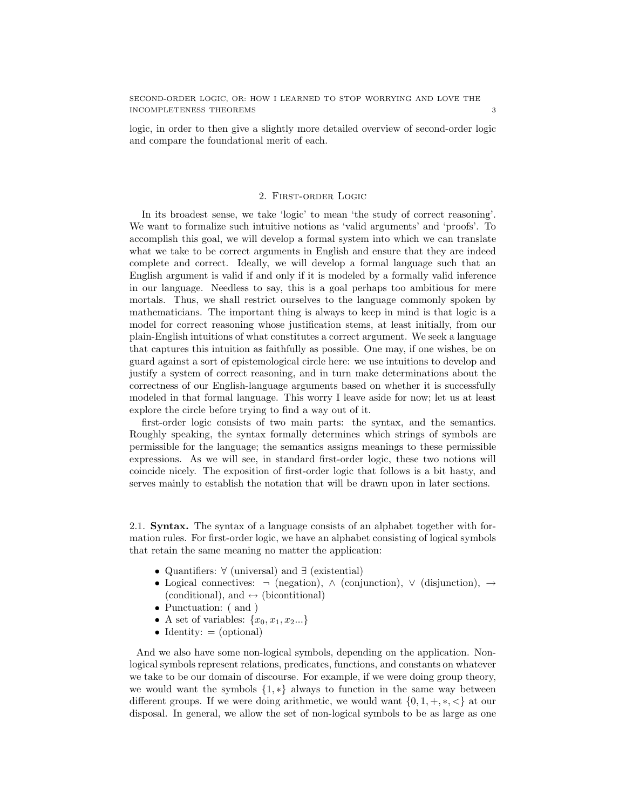logic, in order to then give a slightly more detailed overview of second-order logic and compare the foundational merit of each.

#### 2. First-order Logic

In its broadest sense, we take 'logic' to mean 'the study of correct reasoning'. We want to formalize such intuitive notions as 'valid arguments' and 'proofs'. To accomplish this goal, we will develop a formal system into which we can translate what we take to be correct arguments in English and ensure that they are indeed complete and correct. Ideally, we will develop a formal language such that an English argument is valid if and only if it is modeled by a formally valid inference in our language. Needless to say, this is a goal perhaps too ambitious for mere mortals. Thus, we shall restrict ourselves to the language commonly spoken by mathematicians. The important thing is always to keep in mind is that logic is a model for correct reasoning whose justification stems, at least initially, from our plain-English intuitions of what constitutes a correct argument. We seek a language that captures this intuition as faithfully as possible. One may, if one wishes, be on guard against a sort of epistemological circle here: we use intuitions to develop and justify a system of correct reasoning, and in turn make determinations about the correctness of our English-language arguments based on whether it is successfully modeled in that formal language. This worry I leave aside for now; let us at least explore the circle before trying to find a way out of it.

first-order logic consists of two main parts: the syntax, and the semantics. Roughly speaking, the syntax formally determines which strings of symbols are permissible for the language; the semantics assigns meanings to these permissible expressions. As we will see, in standard first-order logic, these two notions will coincide nicely. The exposition of first-order logic that follows is a bit hasty, and serves mainly to establish the notation that will be drawn upon in later sections.

2.1. Syntax. The syntax of a language consists of an alphabet together with formation rules. For first-order logic, we have an alphabet consisting of logical symbols that retain the same meaning no matter the application:

- Quantifiers: ∀ (universal) and ∃ (existential)
- Logical connectives:  $\neg$  (negation),  $\land$  (conjunction),  $\lor$  (disjunction),  $\rightarrow$ (conditional), and  $\leftrightarrow$  (bicontitional)
- Punctuation: ( and )
- A set of variables:  $\{x_0, x_1, x_2...\}$
- Identity:  $=$  (optional)

And we also have some non-logical symbols, depending on the application. Nonlogical symbols represent relations, predicates, functions, and constants on whatever we take to be our domain of discourse. For example, if we were doing group theory, we would want the symbols  $\{1,*\}$  always to function in the same way between different groups. If we were doing arithmetic, we would want  $\{0, 1, +, *, <\}$  at our disposal. In general, we allow the set of non-logical symbols to be as large as one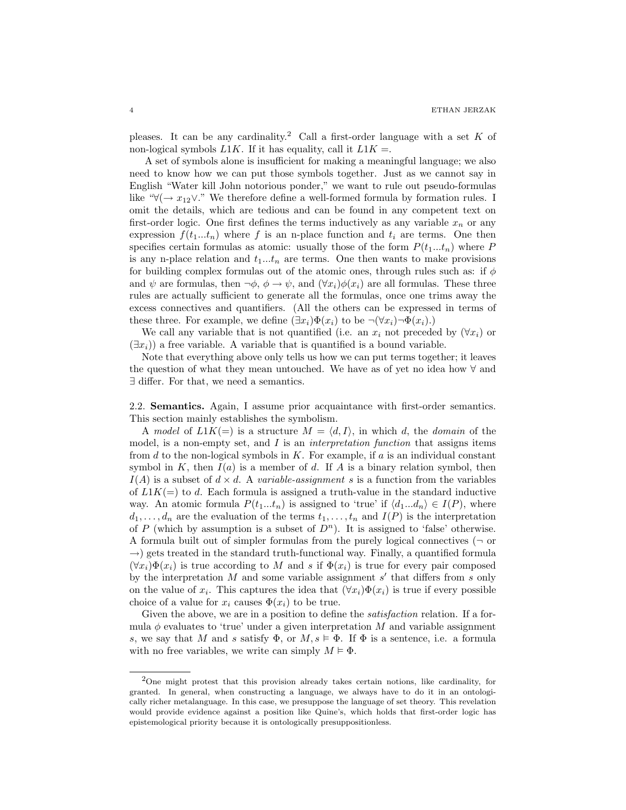pleases. It can be any cardinality.<sup>2</sup> Call a first-order language with a set K of non-logical symbols  $L1K$ . If it has equality, call it  $L1K =$ .

A set of symbols alone is insufficient for making a meaningful language; we also need to know how we can put those symbols together. Just as we cannot say in English "Water kill John notorious ponder," we want to rule out pseudo-formulas like "∀( $\rightarrow x_{12} \vee$ ." We therefore define a well-formed formula by formation rules. I omit the details, which are tedious and can be found in any competent text on first-order logic. One first defines the terms inductively as any variable  $x_n$  or any expression  $f(t_1...t_n)$  where f is an n-place function and  $t_i$  are terms. One then specifies certain formulas as atomic: usually those of the form  $P(t_1...t_n)$  where P is any n-place relation and  $t_1...t_n$  are terms. One then wants to make provisions for building complex formulas out of the atomic ones, through rules such as: if  $\phi$ and  $\psi$  are formulas, then  $\neg \phi$ ,  $\phi \rightarrow \psi$ , and  $(\forall x_i) \phi(x_i)$  are all formulas. These three rules are actually sufficient to generate all the formulas, once one trims away the excess connectives and quantifiers. (All the others can be expressed in terms of these three. For example, we define  $(\exists x_i)\Phi(x_i)$  to be  $\neg(\forall x_i)\neg \Phi(x_i)$ .

We call any variable that is not quantified (i.e. an  $x_i$  not preceded by  $(\forall x_i)$  or  $(\exists x_i)$ ) a free variable. A variable that is quantified is a bound variable.

Note that everything above only tells us how we can put terms together; it leaves the question of what they mean untouched. We have as of yet no idea how ∀ and ∃ differ. For that, we need a semantics.

2.2. Semantics. Again, I assume prior acquaintance with first-order semantics. This section mainly establishes the symbolism.

A model of  $L1K(=)$  is a structure  $M = \langle d, I \rangle$ , in which d, the domain of the model, is a non-empty set, and  $I$  is an *interpretation function* that assigns items from  $d$  to the non-logical symbols in  $K$ . For example, if  $a$  is an individual constant symbol in K, then  $I(a)$  is a member of d. If A is a binary relation symbol, then  $I(A)$  is a subset of  $d \times d$ . A variable-assignment s is a function from the variables of  $L1K(=)$  to d. Each formula is assigned a truth-value in the standard inductive way. An atomic formula  $P(t_1...t_n)$  is assigned to 'true' if  $\langle d_1...d_n \rangle \in I(P)$ , where  $d_1, \ldots, d_n$  are the evaluation of the terms  $t_1, \ldots, t_n$  and  $I(P)$  is the interpretation of P (which by assumption is a subset of  $D<sup>n</sup>$ ). It is assigned to 'false' otherwise. A formula built out of simpler formulas from the purely logical connectives  $(\neg$  or  $\rightarrow$ ) gets treated in the standard truth-functional way. Finally, a quantified formula  $(\forall x_i)\Phi(x_i)$  is true according to M and s if  $\Phi(x_i)$  is true for every pair composed by the interpretation  $M$  and some variable assignment  $s'$  that differs from  $s$  only on the value of  $x_i$ . This captures the idea that  $(\forall x_i)\Phi(x_i)$  is true if every possible choice of a value for  $x_i$  causes  $\Phi(x_i)$  to be true.

Given the above, we are in a position to define the *satisfaction* relation. If a formula  $\phi$  evaluates to 'true' under a given interpretation M and variable assignment s, we say that M and s satisfy  $\Phi$ , or  $M, s \models \Phi$ . If  $\Phi$  is a sentence, i.e. a formula with no free variables, we write can simply  $M \models \Phi$ .

<sup>2</sup>One might protest that this provision already takes certain notions, like cardinality, for granted. In general, when constructing a language, we always have to do it in an ontologically richer metalanguage. In this case, we presuppose the language of set theory. This revelation would provide evidence against a position like Quine's, which holds that first-order logic has epistemological priority because it is ontologically presuppositionless.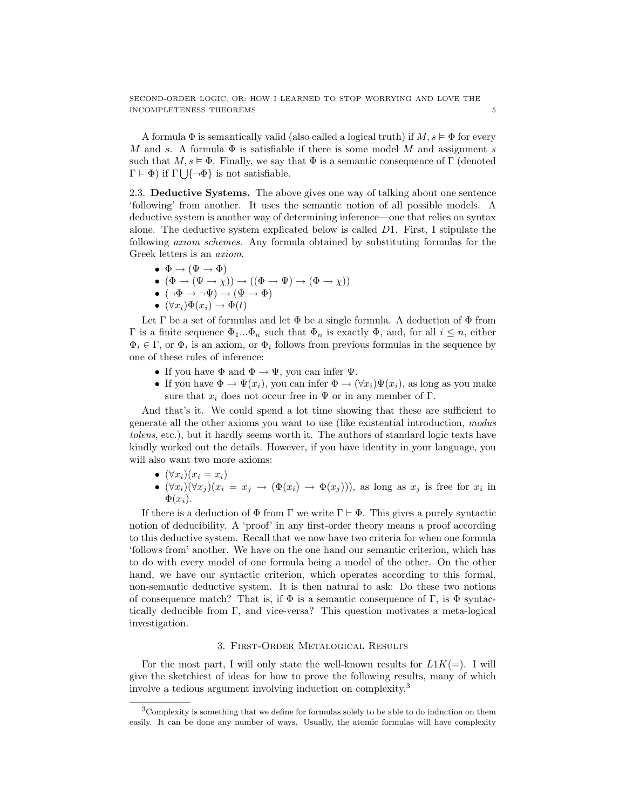A formula  $\Phi$  is semantically valid (also called a logical truth) if  $M, s \vDash \Phi$  for every M and s. A formula  $\Phi$  is satisfiable if there is some model M and assignment s such that  $M, s \models \Phi$ . Finally, we say that  $\Phi$  is a semantic consequence of  $\Gamma$  (denoted  $\Gamma \models \Phi$ ) if  $\Gamma \bigcup {\neg \Phi}$  is not satisfiable.

2.3. Deductive Systems. The above gives one way of talking about one sentence 'following' from another. It uses the semantic notion of all possible models. A deductive system is another way of determining inference—one that relies on syntax alone. The deductive system explicated below is called D1. First, I stipulate the following axiom schemes. Any formula obtained by substituting formulas for the Greek letters is an axiom.

- $\bullet \ \Phi \rightarrow (\Psi \rightarrow \Phi)$
- $(\Phi \to (\Psi \to \chi)) \to ((\Phi \to \Psi) \to (\Phi \to \chi))$
- $\bullet\;\left( \neg \Phi \rightarrow \neg \Psi \right) \rightarrow \left( \Psi \rightarrow \Phi \right)$
- $(\forall x_i)\Phi(x_i) \rightarrow \Phi(t)$

Let  $\Gamma$  be a set of formulas and let  $\Phi$  be a single formula. A deduction of  $\Phi$  from Γ is a finite sequence  $\Phi_1...\Phi_n$  such that  $\Phi_n$  is exactly  $\Phi$ , and, for all  $i \leq n$ , either  $\Phi_i \in \Gamma$ , or  $\Phi_i$  is an axiom, or  $\Phi_i$  follows from previous formulas in the sequence by one of these rules of inference:

- If you have  $\Phi$  and  $\Phi \to \Psi$ , you can infer  $\Psi$ .
- If you have  $\Phi \to \Psi(x_i)$ , you can infer  $\Phi \to (\forall x_i)\Psi(x_i)$ , as long as you make sure that  $x_i$  does not occur free in  $\Psi$  or in any member of  $\Gamma$ .

And that's it. We could spend a lot time showing that these are sufficient to generate all the other axioms you want to use (like existential introduction, modus tolens, etc.), but it hardly seems worth it. The authors of standard logic texts have kindly worked out the details. However, if you have identity in your language, you will also want two more axioms:

- $(\forall x_i)(x_i = x_i)$
- $(\forall x_i)(\forall x_j)(x_i = x_j \rightarrow (\Phi(x_i) \rightarrow \Phi(x_j))),$  as long as  $x_j$  is free for  $x_i$  in  $\Phi(x_i)$ .

If there is a deduction of  $\Phi$  from  $\Gamma$  we write  $\Gamma \vdash \Phi$ . This gives a purely syntactic notion of deducibility. A 'proof' in any first-order theory means a proof according to this deductive system. Recall that we now have two criteria for when one formula 'follows from' another. We have on the one hand our semantic criterion, which has to do with every model of one formula being a model of the other. On the other hand, we have our syntactic criterion, which operates according to this formal, non-semantic deductive system. It is then natural to ask: Do these two notions of consequence match? That is, if  $\Phi$  is a semantic consequence of  $\Gamma$ , is  $\Phi$  syntactically deducible from Γ, and vice-versa? This question motivates a meta-logical investigation.

#### 3. First-Order Metalogical Results

For the most part, I will only state the well-known results for  $L1K(=)$ . I will give the sketchiest of ideas for how to prove the following results, many of which involve a tedious argument involving induction on complexity.<sup>3</sup>

 ${}^{3}$ Complexity is something that we define for formulas solely to be able to do induction on them easily. It can be done any number of ways. Usually, the atomic formulas will have complexity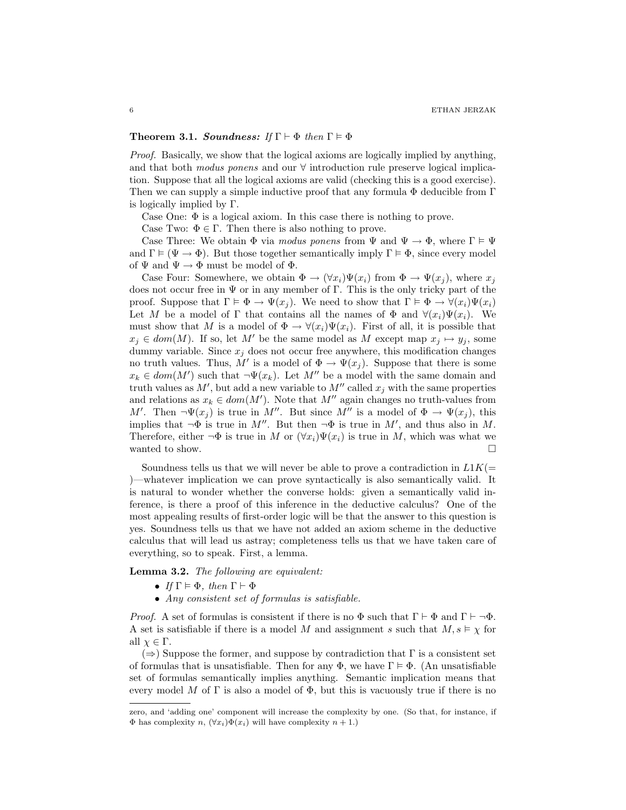#### Theorem 3.1. Soundness: If  $\Gamma \vdash \Phi$  then  $\Gamma \models \Phi$

Proof. Basically, we show that the logical axioms are logically implied by anything, and that both modus ponens and our ∀ introduction rule preserve logical implication. Suppose that all the logical axioms are valid (checking this is a good exercise). Then we can supply a simple inductive proof that any formula  $\Phi$  deducible from  $\Gamma$ is logically implied by Γ.

Case One:  $\Phi$  is a logical axiom. In this case there is nothing to prove.

Case Two:  $\Phi \in \Gamma$ . Then there is also nothing to prove.

Case Three: We obtain  $\Phi$  via *modus ponens* from  $\Psi$  and  $\Psi \to \Phi$ , where  $\Gamma \models \Psi$ and  $\Gamma \models (\Psi \rightarrow \Phi)$ . But those together semantically imply  $\Gamma \models \Phi$ , since every model of  $\Psi$  and  $\Psi \to \Phi$  must be model of  $\Phi$ .

Case Four: Somewhere, we obtain  $\Phi \to (\forall x_i)\Psi(x_i)$  from  $\Phi \to \Psi(x_i)$ , where  $x_i$ does not occur free in  $\Psi$  or in any member of Γ. This is the only tricky part of the proof. Suppose that  $\Gamma \models \Phi \rightarrow \Psi(x_i)$ . We need to show that  $\Gamma \models \Phi \rightarrow \forall (x_i) \Psi(x_i)$ Let M be a model of  $\Gamma$  that contains all the names of  $\Phi$  and  $\forall (x_i)\Psi(x_i)$ . We must show that M is a model of  $\Phi \to \forall (x_i)\Psi(x_i)$ . First of all, it is possible that  $x_i \in dom(M)$ . If so, let M' be the same model as M except map  $x_i \mapsto y_i$ , some dummy variable. Since  $x_j$  does not occur free anywhere, this modification changes no truth values. Thus, M' is a model of  $\Phi \to \Psi(x_j)$ . Suppose that there is some  $x_k \in dom(M')$  such that  $\neg \Psi(x_k)$ . Let M'' be a model with the same domain and truth values as  $M'$ , but add a new variable to  $M''$  called  $x_j$  with the same properties and relations as  $x_k \in dom(M')$ . Note that  $M''$  again changes no truth-values from M'. Then  $\neg \Psi(x_j)$  is true in M''. But since M'' is a model of  $\Phi \to \Psi(x_j)$ , this implies that  $\neg \Phi$  is true in M''. But then  $\neg \Phi$  is true in M', and thus also in M. Therefore, either  $\neg \Phi$  is true in M or  $(\forall x_i)\Psi(x_i)$  is true in M, which was what we wanted to show.  $\Box$ 

Soundness tells us that we will never be able to prove a contradiction in  $L1K(=$ )—whatever implication we can prove syntactically is also semantically valid. It is natural to wonder whether the converse holds: given a semantically valid inference, is there a proof of this inference in the deductive calculus? One of the most appealing results of first-order logic will be that the answer to this question is yes. Soundness tells us that we have not added an axiom scheme in the deductive calculus that will lead us astray; completeness tells us that we have taken care of everything, so to speak. First, a lemma.

Lemma 3.2. The following are equivalent:

- If  $\Gamma \models \Phi$ , then  $\Gamma \vdash \Phi$
- Any consistent set of formulas is satisfiable.

*Proof.* A set of formulas is consistent if there is no  $\Phi$  such that  $\Gamma \vdash \Phi$  and  $\Gamma \vdash \neg \Phi$ . A set is satisfiable if there is a model M and assignment s such that  $M, s \models \chi$  for all  $\chi \in \Gamma$ .

 $(\Rightarrow)$  Suppose the former, and suppose by contradiction that Γ is a consistent set of formulas that is unsatisfiable. Then for any  $\Phi$ , we have  $\Gamma \models \Phi$ . (An unsatisfiable set of formulas semantically implies anything. Semantic implication means that every model M of  $\Gamma$  is also a model of  $\Phi$ , but this is vacuously true if there is no

zero, and 'adding one' component will increase the complexity by one. (So that, for instance, if  $\Phi$  has complexity n,  $(\forall x_i)\Phi(x_i)$  will have complexity  $n+1$ .)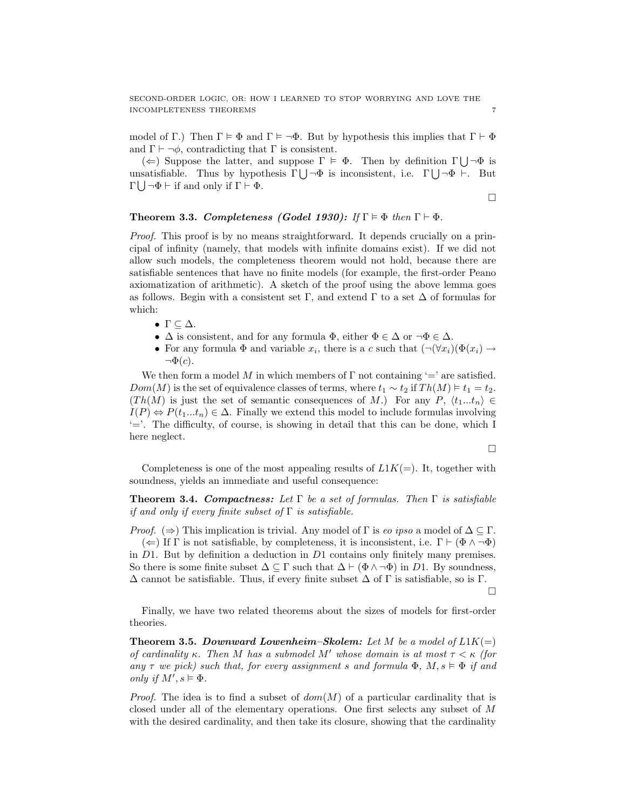model of Γ.) Then  $\Gamma \models \Phi$  and  $\Gamma \models \neg \Phi$ . But by hypothesis this implies that  $\Gamma \vdash \Phi$ and  $\Gamma \vdash \neg \phi$ , contradicting that  $\Gamma$  is consistent.

( $\Leftarrow$ ) Suppose the latter, and suppose  $\Gamma \models \Phi$ . Then by definition  $\Gamma \bigcup \neg \Phi$  is unsatisfiable. Thus by hypothesis  $\Gamma \bigcup \neg \Phi$  is inconsistent, i.e.  $\Gamma \bigcup \neg \Phi \vdash$ . But  $\Gamma \bigcup \neg \Phi \vdash \text{if and only if } \Gamma \vdash \Phi.$ 

$$
\Box
$$

## Theorem 3.3. Completeness (Godel 1930): If  $\Gamma \models \Phi$  then  $\Gamma \vdash \Phi$ .

Proof. This proof is by no means straightforward. It depends crucially on a principal of infinity (namely, that models with infinite domains exist). If we did not allow such models, the completeness theorem would not hold, because there are satisfiable sentences that have no finite models (for example, the first-order Peano axiomatization of arithmetic). A sketch of the proof using the above lemma goes as follows. Begin with a consistent set Γ, and extend Γ to a set  $\Delta$  of formulas for which:

- $\Gamma \subseteq \Delta$ .
- $\Delta$  is consistent, and for any formula  $\Phi$ , either  $\Phi \in \Delta$  or  $\neg \Phi \in \Delta$ .
- For any formula  $\Phi$  and variable  $x_i$ , there is a c such that  $(\neg(\forall x_i)(\Phi(x_i) \rightarrow$  $\neg \Phi(c)$ .

We then form a model M in which members of  $\Gamma$  not containing '=' are satisfied.  $Dom(M)$  is the set of equivalence classes of terms, where  $t_1 \sim t_2$  if  $Th(M) \models t_1 = t_2$ .  $(Th(M)$  is just the set of semantic consequences of M.) For any P,  $\langle t_1...t_n \rangle \in$  $I(P) \Leftrightarrow P(t_1...t_n) \in \Delta$ . Finally we extend this model to include formulas involving '='. The difficulty, of course, is showing in detail that this can be done, which I here neglect.

$$
\Box
$$

Completeness is one of the most appealing results of  $L1K(=)$ . It, together with soundness, yields an immediate and useful consequence:

**Theorem 3.4. Compactness:** Let  $\Gamma$  be a set of formulas. Then  $\Gamma$  is satisfiable if and only if every finite subset of  $\Gamma$  is satisfiable.

*Proof.* ( $\Rightarrow$ ) This implication is trivial. Any model of  $\Gamma$  is eo ipso a model of  $\Delta \subseteq \Gamma$ .  $(\Leftarrow)$  If  $\Gamma$  is not satisfiable, by completeness, it is inconsistent, i.e.  $\Gamma \vdash (\Phi \land \neg \Phi)$ in  $D1$ . But by definition a deduction in  $D1$  contains only finitely many premises. So there is some finite subset  $\Delta \subseteq \Gamma$  such that  $\Delta \vdash (\Phi \wedge \neg \Phi)$  in D1. By soundness,  $\Delta$  cannot be satisfiable. Thus, if every finite subset  $\Delta$  of  $\Gamma$  is satisfiable, so is  $\Gamma$ .

$$
\Box
$$

Finally, we have two related theorems about the sizes of models for first-order theories.

**Theorem 3.5. Downward Lowenheim–Skolem:** Let M be a model of  $L1K(=)$ of cardinality κ. Then M has a submodel M' whose domain is at most  $\tau < \kappa$  (for any  $\tau$  we pick) such that, for every assignment s and formula  $\Phi$ ,  $M, s \vDash \Phi$  if and only if  $M', s \models \Phi$ .

*Proof.* The idea is to find a subset of  $dom(M)$  of a particular cardinality that is closed under all of the elementary operations. One first selects any subset of M with the desired cardinality, and then take its closure, showing that the cardinality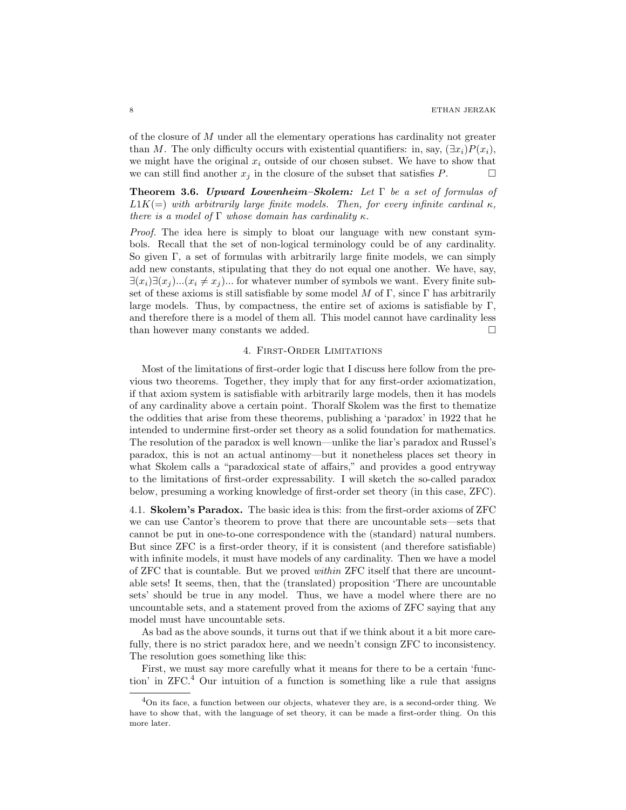of the closure of M under all the elementary operations has cardinality not greater than M. The only difficulty occurs with existential quantifiers: in, say,  $(\exists x_i)P(x_i)$ , we might have the original  $x_i$  outside of our chosen subset. We have to show that we can still find another  $x_j$  in the closure of the subset that satisfies P.  $\Box$ 

**Theorem 3.6.** Upward Lowenheim–Skolem: Let  $\Gamma$  be a set of formulas of  $L1K(=)$  with arbitrarily large finite models. Then, for every infinite cardinal  $\kappa$ , there is a model of  $\Gamma$  whose domain has cardinality  $\kappa$ .

Proof. The idea here is simply to bloat our language with new constant symbols. Recall that the set of non-logical terminology could be of any cardinality. So given Γ, a set of formulas with arbitrarily large finite models, we can simply add new constants, stipulating that they do not equal one another. We have, say,  $\exists (x_i)\exists (x_j)...(x_i \neq x_j)...$  for whatever number of symbols we want. Every finite subset of these axioms is still satisfiable by some model M of Γ, since Γ has arbitrarily large models. Thus, by compactness, the entire set of axioms is satisfiable by  $\Gamma$ , and therefore there is a model of them all. This model cannot have cardinality less than however many constants we added.  $\square$ 

#### 4. First-Order Limitations

Most of the limitations of first-order logic that I discuss here follow from the previous two theorems. Together, they imply that for any first-order axiomatization, if that axiom system is satisfiable with arbitrarily large models, then it has models of any cardinality above a certain point. Thoralf Skolem was the first to thematize the oddities that arise from these theorems, publishing a 'paradox' in 1922 that he intended to undermine first-order set theory as a solid foundation for mathematics. The resolution of the paradox is well known—unlike the liar's paradox and Russel's paradox, this is not an actual antinomy—but it nonetheless places set theory in what Skolem calls a "paradoxical state of affairs," and provides a good entryway to the limitations of first-order expressability. I will sketch the so-called paradox below, presuming a working knowledge of first-order set theory (in this case, ZFC).

4.1. Skolem's Paradox. The basic idea is this: from the first-order axioms of ZFC we can use Cantor's theorem to prove that there are uncountable sets—sets that cannot be put in one-to-one correspondence with the (standard) natural numbers. But since ZFC is a first-order theory, if it is consistent (and therefore satisfiable) with infinite models, it must have models of any cardinality. Then we have a model of ZFC that is countable. But we proved within ZFC itself that there are uncountable sets! It seems, then, that the (translated) proposition 'There are uncountable sets' should be true in any model. Thus, we have a model where there are no uncountable sets, and a statement proved from the axioms of ZFC saying that any model must have uncountable sets.

As bad as the above sounds, it turns out that if we think about it a bit more carefully, there is no strict paradox here, and we needn't consign ZFC to inconsistency. The resolution goes something like this:

First, we must say more carefully what it means for there to be a certain 'function' in  $ZFC<sup>4</sup>$  Our intuition of a function is something like a rule that assigns

 ${}^{4}$ On its face, a function between our objects, whatever they are, is a second-order thing. We have to show that, with the language of set theory, it can be made a first-order thing. On this more later.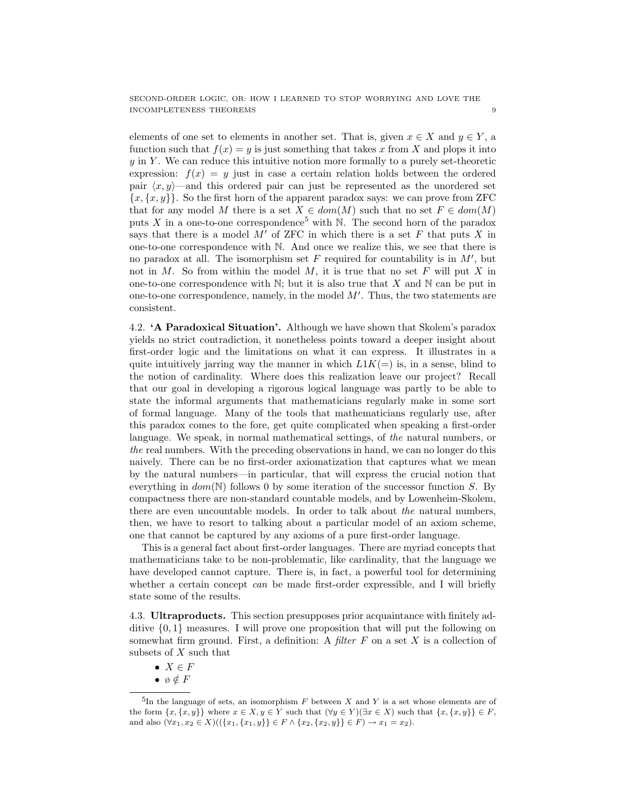elements of one set to elements in another set. That is, given  $x \in X$  and  $y \in Y$ , a function such that  $f(x) = y$  is just something that takes x from X and plops it into  $y$  in Y. We can reduce this intuitive notion more formally to a purely set-theoretic expression:  $f(x) = y$  just in case a certain relation holds between the ordered pair  $\langle x, y \rangle$ —and this ordered pair can just be represented as the unordered set  ${x, {x, y}}$ . So the first horn of the apparent paradox says: we can prove from ZFC that for any model M there is a set  $X \in dom(M)$  such that no set  $F \in dom(M)$ puts X in a one-to-one correspondence<sup>5</sup> with N. The second horn of the paradox says that there is a model  $M'$  of ZFC in which there is a set F that puts X in one-to-one correspondence with N. And once we realize this, we see that there is no paradox at all. The isomorphism set  $F$  required for countability is in  $M'$ , but not in M. So from within the model M, it is true that no set  $F$  will put X in one-to-one correspondence with  $\mathbb N$ ; but it is also true that X and  $\mathbb N$  can be put in one-to-one correspondence, namely, in the model  $M'$ . Thus, the two statements are consistent.

4.2. 'A Paradoxical Situation'. Although we have shown that Skolem's paradox yields no strict contradiction, it nonetheless points toward a deeper insight about first-order logic and the limitations on what it can express. It illustrates in a quite intuitively jarring way the manner in which  $L1K(=)$  is, in a sense, blind to the notion of cardinality. Where does this realization leave our project? Recall that our goal in developing a rigorous logical language was partly to be able to state the informal arguments that mathematicians regularly make in some sort of formal language. Many of the tools that mathematicians regularly use, after this paradox comes to the fore, get quite complicated when speaking a first-order language. We speak, in normal mathematical settings, of the natural numbers, or the real numbers. With the preceding observations in hand, we can no longer do this naively. There can be no first-order axiomatization that captures what we mean by the natural numbers—in particular, that will express the crucial notion that everything in  $dom(\mathbb{N})$  follows 0 by some iteration of the successor function S. By compactness there are non-standard countable models, and by Lowenheim-Skolem, there are even uncountable models. In order to talk about the natural numbers, then, we have to resort to talking about a particular model of an axiom scheme, one that cannot be captured by any axioms of a pure first-order language.

This is a general fact about first-order languages. There are myriad concepts that mathematicians take to be non-problematic, like cardinality, that the language we have developed cannot capture. There is, in fact, a powerful tool for determining whether a certain concept  $can$  be made first-order expressible, and I will briefly state some of the results.

4.3. Ultraproducts. This section presupposes prior acquaintance with finitely additive  $\{0, 1\}$  measures. I will prove one proposition that will put the following on somewhat firm ground. First, a definition: A filter  $F$  on a set  $X$  is a collection of subsets of  $X$  such that

- $X \in F$
- ø  $\notin F$

 ${}^{5}$ In the language of sets, an isomorphism F between X and Y is a set whose elements are of the form  $\{x, \{x, y\}\}\$  where  $x \in X, y \in Y$  such that  $(\forall y \in Y)(\exists x \in X)$  such that  $\{x, \{x, y\}\}\in F$ , and also  $(\forall x_1, x_2 \in X)((\{x_1, \{x_1, y\}\} \in F \land \{x_2, \{x_2, y\}\} \in F) \rightarrow x_1 = x_2).$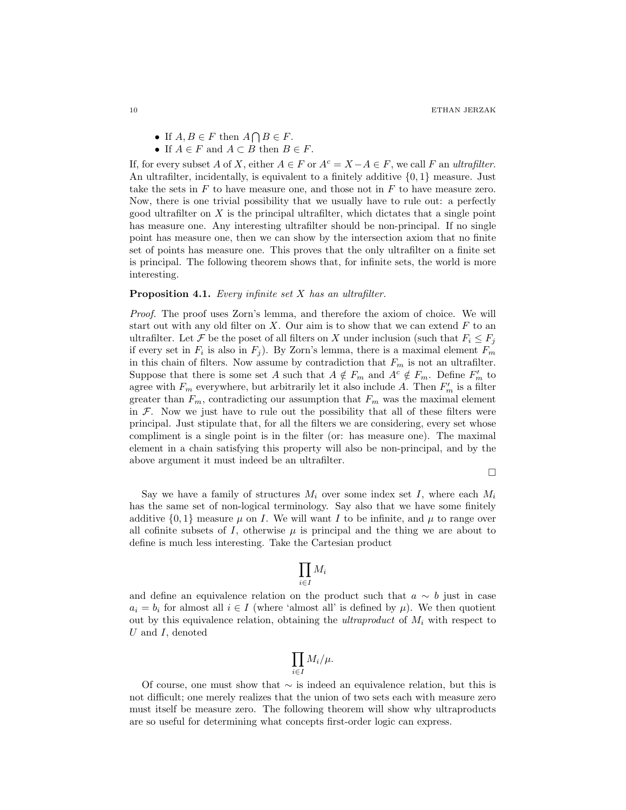- If  $A, B \in F$  then  $A \cap B \in F$ .
- If  $A \in F$  and  $A \subset B$  then  $B \in F$ .

If, for every subset A of X, either  $A \in F$  or  $A^c = X - A \in F$ , we call F an ultrafilter. An ultrafilter, incidentally, is equivalent to a finitely additive  $\{0, 1\}$  measure. Just take the sets in  $F$  to have measure one, and those not in  $F$  to have measure zero. Now, there is one trivial possibility that we usually have to rule out: a perfectly good ultrafilter on  $X$  is the principal ultrafilter, which dictates that a single point has measure one. Any interesting ultrafilter should be non-principal. If no single point has measure one, then we can show by the intersection axiom that no finite set of points has measure one. This proves that the only ultrafilter on a finite set is principal. The following theorem shows that, for infinite sets, the world is more interesting.

#### **Proposition 4.1.** Every infinite set  $X$  has an ultrafilter.

Proof. The proof uses Zorn's lemma, and therefore the axiom of choice. We will start out with any old filter on  $X$ . Our aim is to show that we can extend  $F$  to an ultrafilter. Let F be the poset of all filters on X under inclusion (such that  $F_i \leq F_i$ if every set in  $F_i$  is also in  $F_j$ ). By Zorn's lemma, there is a maximal element  $F_m$ in this chain of filters. Now assume by contradiction that  $F_m$  is not an ultrafilter. Suppose that there is some set A such that  $A \notin F_m$  and  $A^c \notin F_m$ . Define  $F'_m$  to agree with  $F_m$  everywhere, but arbitrarily let it also include A. Then  $F'_m$  is a filter greater than  $F_m$ , contradicting our assumption that  $F_m$  was the maximal element in  $\mathcal F$ . Now we just have to rule out the possibility that all of these filters were principal. Just stipulate that, for all the filters we are considering, every set whose compliment is a single point is in the filter (or: has measure one). The maximal element in a chain satisfying this property will also be non-principal, and by the above argument it must indeed be an ultrafilter.

Say we have a family of structures  $M_i$  over some index set I, where each  $M_i$ has the same set of non-logical terminology. Say also that we have some finitely additive  $\{0, 1\}$  measure  $\mu$  on I. We will want I to be infinite, and  $\mu$  to range over all cofinite subsets of I, otherwise  $\mu$  is principal and the thing we are about to define is much less interesting. Take the Cartesian product

$$
\prod_{i\in I}M_i
$$

and define an equivalence relation on the product such that  $a \sim b$  just in case  $a_i = b_i$  for almost all  $i \in I$  (where 'almost all' is defined by  $\mu$ ). We then quotient out by this equivalence relation, obtaining the *ultraproduct* of  $M_i$  with respect to U and I, denoted

$$
\prod_{i\in I} M_i/\mu.
$$

Of course, one must show that  $\sim$  is indeed an equivalence relation, but this is not difficult; one merely realizes that the union of two sets each with measure zero must itself be measure zero. The following theorem will show why ultraproducts are so useful for determining what concepts first-order logic can express.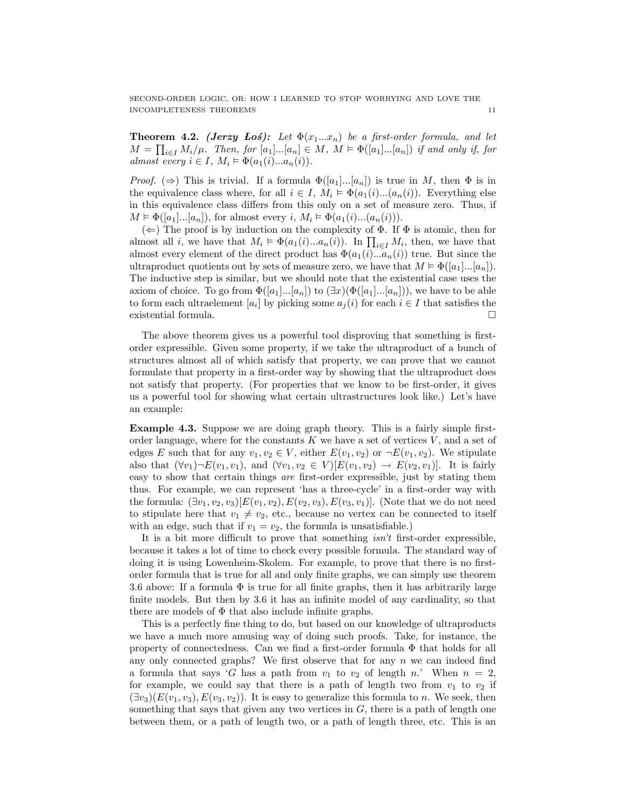**Theorem 4.2.** (Jerzy Los): Let  $\Phi(x_1...x_n)$  be a first-order formula, and let  $M = \prod_{i \in I} M_i/\mu$ . Then, for  $[a_1] \dots [a_n] \in M$ ,  $M \models \Phi([a_1] \dots [a_n])$  if and only if, for almost every  $i \in I$ ,  $M_i \models \Phi(a_1(i)...a_n(i))$ .

*Proof.* ( $\Rightarrow$ ) This is trivial. If a formula  $\Phi([a_1]...[a_n])$  is true in M, then  $\Phi$  is in the equivalence class where, for all  $i \in I$ ,  $M_i \models \Phi(a_1(i)...(a_n(i))$ . Everything else in this equivalence class differs from this only on a set of measure zero. Thus, if  $M \models \Phi([a_1]...[a_n]),$  for almost every i,  $M_i \models \Phi(a_1(i)...(a_n(i))).$ 

 $(\Leftarrow)$  The proof is by induction on the complexity of  $\Phi$ . If  $\Phi$  is atomic, then for almost all *i*, we have that  $M_i \models \Phi(a_1(i)...a_n(i))$ . In  $\prod_{i \in I} M_i$ , then, we have that almost every element of the direct product has  $\Phi(a_1(i)...a_n(i))$  true. But since the ultraproduct quotients out by sets of measure zero, we have that  $M \models \Phi([a_1]...[a_n])$ . The inductive step is similar, but we should note that the existential case uses the axiom of choice. To go from  $\Phi([a_1]...[a_n])$  to  $(\exists x)(\Phi([a_1]...[a_n]))$ , we have to be able to form each ultraelement  $[a_i]$  by picking some  $a_j(i)$  for each  $i \in I$  that satisfies the existential formula.

The above theorem gives us a powerful tool disproving that something is firstorder expressible. Given some property, if we take the ultraproduct of a bunch of structures almost all of which satisfy that property, we can prove that we cannot formulate that property in a first-order way by showing that the ultraproduct does not satisfy that property. (For properties that we know to be first-order, it gives us a powerful tool for showing what certain ultrastructures look like.) Let's have an example:

Example 4.3. Suppose we are doing graph theory. This is a fairly simple firstorder language, where for the constants  $K$  we have a set of vertices  $V$ , and a set of edges E such that for any  $v_1, v_2 \in V$ , either  $E(v_1, v_2)$  or  $\neg E(v_1, v_2)$ . We stipulate also that  $(\forall v_1) \neg E(v_1, v_1)$ , and  $(\forall v_1, v_2 \in V)[E(v_1, v_2) \rightarrow E(v_2, v_1)]$ . It is fairly easy to show that certain things are first-order expressible, just by stating them thus. For example, we can represent 'has a three-cycle' in a first-order way with the formula:  $(\exists v_1, v_2, v_3)$ [ $E(v_1, v_2)$ ,  $E(v_2, v_3)$ ,  $E(v_3, v_1)$ ]. (Note that we do not need to stipulate here that  $v_1 \neq v_2$ , etc., because no vertex can be connected to itself with an edge, such that if  $v_1 = v_2$ , the formula is unsatisfiable.)

It is a bit more difficult to prove that something isn't first-order expressible, because it takes a lot of time to check every possible formula. The standard way of doing it is using Lowenheim-Skolem. For example, to prove that there is no firstorder formula that is true for all and only finite graphs, we can simply use theorem 3.6 above: If a formula  $\Phi$  is true for all finite graphs, then it has arbitrarily large finite models. But then by 3.6 it has an infinite model of any cardinality, so that there are models of  $\Phi$  that also include infinite graphs.

This is a perfectly fine thing to do, but based on our knowledge of ultraproducts we have a much more amusing way of doing such proofs. Take, for instance, the property of connectedness. Can we find a first-order formula Φ that holds for all any only connected graphs? We first observe that for any  $n$  we can indeed find a formula that says 'G has a path from  $v_1$  to  $v_2$  of length n.' When  $n = 2$ , for example, we could say that there is a path of length two from  $v_1$  to  $v_2$  if  $(\exists v_3)(E(v_1, v_3), E(v_3, v_2))$ . It is easy to generalize this formula to n. We seek, then something that says that given any two vertices in  $G$ , there is a path of length one between them, or a path of length two, or a path of length three, etc. This is an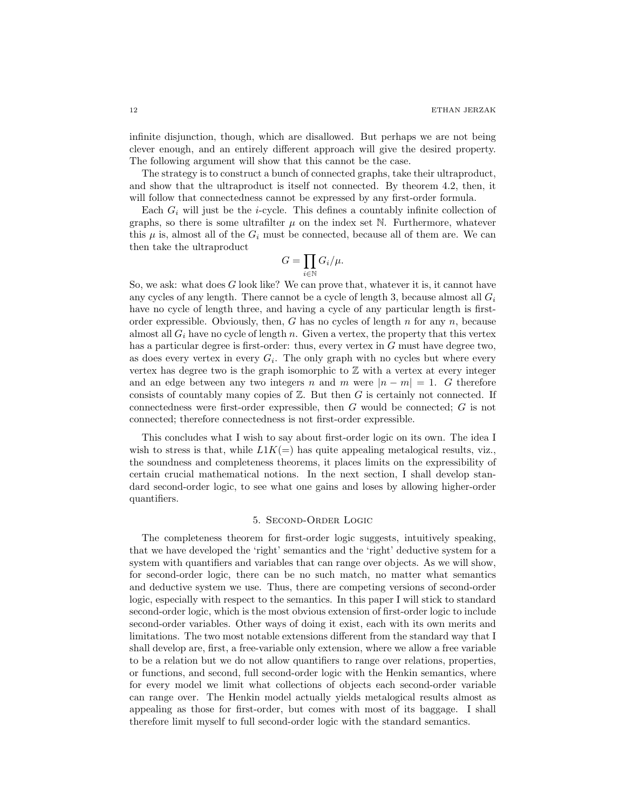infinite disjunction, though, which are disallowed. But perhaps we are not being clever enough, and an entirely different approach will give the desired property. The following argument will show that this cannot be the case.

The strategy is to construct a bunch of connected graphs, take their ultraproduct, and show that the ultraproduct is itself not connected. By theorem 4.2, then, it will follow that connectedness cannot be expressed by any first-order formula.

Each  $G_i$  will just be the *i*-cycle. This defines a countably infinite collection of graphs, so there is some ultrafilter  $\mu$  on the index set N. Furthermore, whatever this  $\mu$  is, almost all of the  $G_i$  must be connected, because all of them are. We can then take the ultraproduct

$$
G=\prod_{i\in\mathbb{N}}G_i/\mu.
$$

So, we ask: what does  $G$  look like? We can prove that, whatever it is, it cannot have any cycles of any length. There cannot be a cycle of length 3, because almost all  $G_i$ have no cycle of length three, and having a cycle of any particular length is firstorder expressible. Obviously, then, G has no cycles of length  $n$  for any  $n$ , because almost all  $G_i$  have no cycle of length n. Given a vertex, the property that this vertex has a particular degree is first-order: thus, every vertex in G must have degree two, as does every vertex in every  $G_i$ . The only graph with no cycles but where every vertex has degree two is the graph isomorphic to  $\mathbb Z$  with a vertex at every integer and an edge between any two integers n and m were  $|n - m| = 1$ . G therefore consists of countably many copies of  $\mathbb{Z}$ . But then G is certainly not connected. If connectedness were first-order expressible, then G would be connected; G is not connected; therefore connectedness is not first-order expressible.

This concludes what I wish to say about first-order logic on its own. The idea I wish to stress is that, while  $L1K(=)$  has quite appealing metalogical results, viz., the soundness and completeness theorems, it places limits on the expressibility of certain crucial mathematical notions. In the next section, I shall develop standard second-order logic, to see what one gains and loses by allowing higher-order quantifiers.

#### 5. Second-Order Logic

The completeness theorem for first-order logic suggests, intuitively speaking, that we have developed the 'right' semantics and the 'right' deductive system for a system with quantifiers and variables that can range over objects. As we will show, for second-order logic, there can be no such match, no matter what semantics and deductive system we use. Thus, there are competing versions of second-order logic, especially with respect to the semantics. In this paper I will stick to standard second-order logic, which is the most obvious extension of first-order logic to include second-order variables. Other ways of doing it exist, each with its own merits and limitations. The two most notable extensions different from the standard way that I shall develop are, first, a free-variable only extension, where we allow a free variable to be a relation but we do not allow quantifiers to range over relations, properties, or functions, and second, full second-order logic with the Henkin semantics, where for every model we limit what collections of objects each second-order variable can range over. The Henkin model actually yields metalogical results almost as appealing as those for first-order, but comes with most of its baggage. I shall therefore limit myself to full second-order logic with the standard semantics.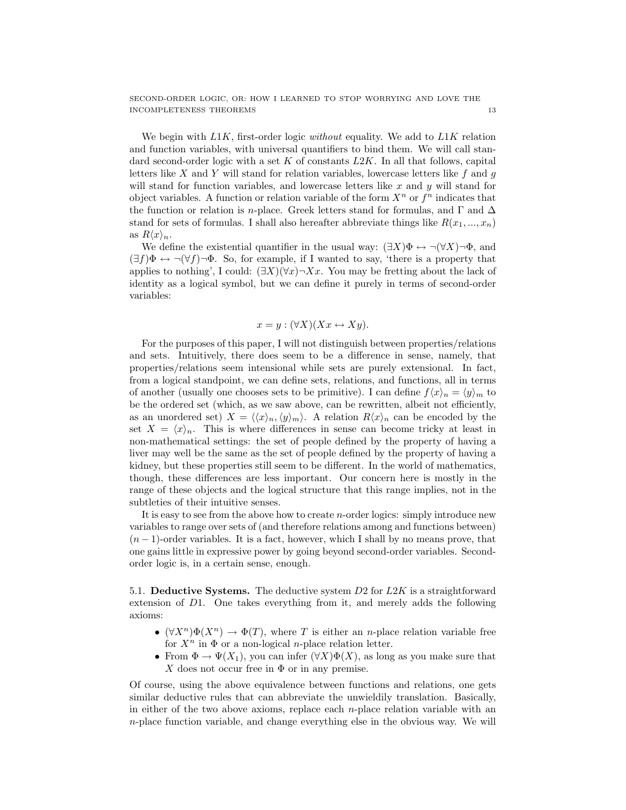We begin with  $L1K$ , first-order logic *without* equality. We add to  $L1K$  relation and function variables, with universal quantifiers to bind them. We will call standard second-order logic with a set K of constants  $L2K$ . In all that follows, capital letters like  $X$  and  $Y$  will stand for relation variables, lowercase letters like  $f$  and  $g$ will stand for function variables, and lowercase letters like  $x$  and  $y$  will stand for object variables. A function or relation variable of the form  $X^n$  or  $f^n$  indicates that the function or relation is *n*-place. Greek letters stand for formulas, and  $\Gamma$  and  $\Delta$ stand for sets of formulas. I shall also hereafter abbreviate things like  $R(x_1, ..., x_n)$ as  $R\langle x \rangle_n$ .

We define the existential quantifier in the usual way:  $(\exists X)\Phi \leftrightarrow \neg(\forall X)\neg \Phi$ , and  $(\exists f)\Phi \leftrightarrow \neg(\forall f)\neg \Phi$ . So, for example, if I wanted to say, 'there is a property that applies to nothing', I could:  $(\exists X)(\forall x) \neg Xx$ . You may be fretting about the lack of identity as a logical symbol, but we can define it purely in terms of second-order variables:

$$
x = y : (\forall X)(Xx \leftrightarrow Xy).
$$

For the purposes of this paper, I will not distinguish between properties/relations and sets. Intuitively, there does seem to be a difference in sense, namely, that properties/relations seem intensional while sets are purely extensional. In fact, from a logical standpoint, we can define sets, relations, and functions, all in terms of another (usually one chooses sets to be primitive). I can define  $f\langle x \rangle_n = \langle y \rangle_m$  to be the ordered set (which, as we saw above, can be rewritten, albeit not efficiently, as an unordered set)  $X = \langle \langle x \rangle_n, \langle y \rangle_m \rangle$ . A relation  $R\langle x \rangle_n$  can be encoded by the set  $X = \langle x \rangle_n$ . This is where differences in sense can become tricky at least in non-mathematical settings: the set of people defined by the property of having a liver may well be the same as the set of people defined by the property of having a kidney, but these properties still seem to be different. In the world of mathematics, though, these differences are less important. Our concern here is mostly in the range of these objects and the logical structure that this range implies, not in the subtleties of their intuitive senses.

It is easy to see from the above how to create  $n$ -order logics: simply introduce new variables to range over sets of (and therefore relations among and functions between)  $(n-1)$ -order variables. It is a fact, however, which I shall by no means prove, that one gains little in expressive power by going beyond second-order variables. Secondorder logic is, in a certain sense, enough.

5.1. Deductive Systems. The deductive system  $D2$  for  $L2K$  is a straightforward extension of D1. One takes everything from it, and merely adds the following axioms:

- $(\forall X^n)\Phi(X^n) \to \Phi(T)$ , where T is either an *n*-place relation variable free for  $X^n$  in  $\Phi$  or a non-logical *n*-place relation letter.
- From  $\Phi \to \Psi(X_1)$ , you can infer  $(\forall X)\Phi(X)$ , as long as you make sure that X does not occur free in  $\Phi$  or in any premise.

Of course, using the above equivalence between functions and relations, one gets similar deductive rules that can abbreviate the unwieldily translation. Basically, in either of the two above axioms, replace each n-place relation variable with an  $n$ -place function variable, and change everything else in the obvious way. We will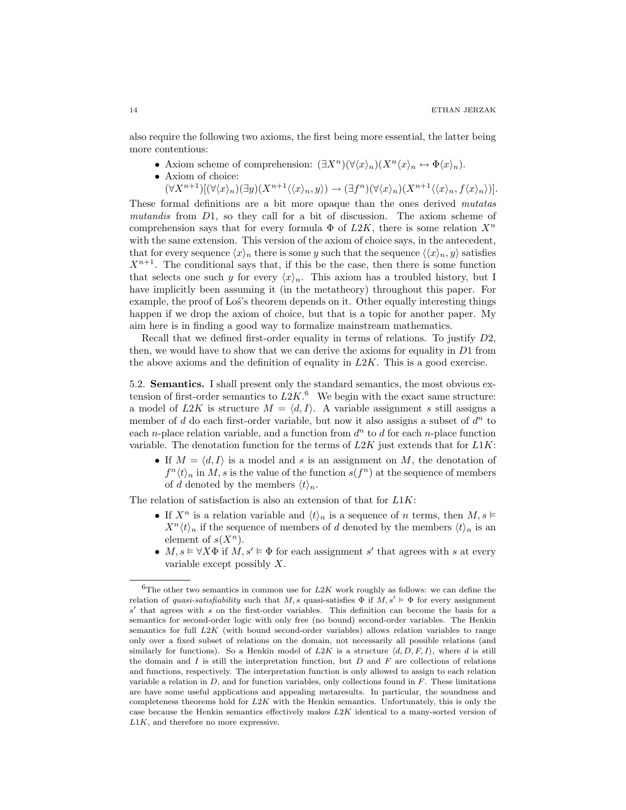also require the following two axioms, the first being more essential, the latter being more contentious:

- Axiom scheme of comprehension:  $(\exists X^n)(\forall \langle x \rangle_n)(X^n\langle x \rangle_n \leftrightarrow \Phi\langle x \rangle_n)$ .
- Axiom of choice:

 $(\forall X^{n+1})[(\forall \langle x \rangle_n)(\exists y)(X^{n+1}\langle\langle x \rangle_n, y\rangle) \rightarrow (\exists f^n)(\forall \langle x \rangle_n)(X^{n+1}\langle\langle x \rangle_n, f\langle x \rangle_n))].$ 

These formal definitions are a bit more opaque than the ones derived mutatas mutandis from  $D_1$ , so they call for a bit of discussion. The axiom scheme of comprehension says that for every formula  $\Phi$  of  $L2K$ , there is some relation  $X^n$ with the same extension. This version of the axiom of choice says, in the antecedent, that for every sequence  $\langle x \rangle_n$  there is some y such that the sequence  $\langle \langle x \rangle_n, y \rangle$  satisfies  $X^{n+1}$ . The conditional says that, if this be the case, then there is some function that selects one such y for every  $\langle x \rangle_n$ . This axiom has a troubled history, but I have implicitly been assuming it (in the metatheory) throughout this paper. For example, the proof of Los's theorem depends on it. Other equally interesting things happen if we drop the axiom of choice, but that is a topic for another paper. My aim here is in finding a good way to formalize mainstream mathematics.

Recall that we defined first-order equality in terms of relations. To justify  $D2$ , then, we would have to show that we can derive the axioms for equality in  $D1$  from the above axioms and the definition of equality in  $L2K$ . This is a good exercise.

5.2. Semantics. I shall present only the standard semantics, the most obvious extension of first-order semantics to  $L2K$ .<sup>6</sup> We begin with the exact same structure: a model of L2K is structure  $M = \langle d, I \rangle$ . A variable assignment s still assigns a member of  $d$  do each first-order variable, but now it also assigns a subset of  $d^n$  to each *n*-place relation variable, and a function from  $d^n$  to  $d$  for each *n*-place function variable. The denotation function for the terms of  $L2K$  just extends that for  $L1K$ :

• If  $M = \langle d, I \rangle$  is a model and s is an assignment on M, the denotation of  $f^{n}\langle t \rangle_n$  in M, s is the value of the function  $s(f^n)$  at the sequence of members of d denoted by the members  $\langle t \rangle_n$ .

The relation of satisfaction is also an extension of that for  $L1K$ :

- If  $X^n$  is a relation variable and  $\langle t \rangle_n$  is a sequence of n terms, then  $M, s \vDash$  $X^n \langle t \rangle_n$  if the sequence of members of d denoted by the members  $\langle t \rangle_n$  is an element of  $s(X^n)$ .
- $M, s \models \forall X \Phi$  if  $M, s' \models \Phi$  for each assignment s' that agrees with s at every variable except possibly  $X$ .

 ${}^{6}$ The other two semantics in common use for  $L2K$  work roughly as follows: we can define the relation of quasi-satisfiability such that M, s quasi-satisfies  $\Phi$  if  $M, s' \vDash \Phi$  for every assignment  $s'$  that agrees with  $s$  on the first-order variables. This definition can become the basis for a semantics for second-order logic with only free (no bound) second-order variables. The Henkin semantics for full L2K (with bound second-order variables) allows relation variables to range only over a fixed subset of relations on the domain, not necessarily all possible relations (and similarly for functions). So a Henkin model of  $L2K$  is a structure  $\langle d, D, F, I \rangle$ , where d is still the domain and  $I$  is still the interpretation function, but  $D$  and  $F$  are collections of relations and functions, respectively. The interpretation function is only allowed to assign to each relation variable a relation in  $D$ , and for function variables, only collections found in  $F$ . These limitations are have some useful applications and appealing metaresults. In particular, the soundness and completeness theorems hold for  $L2K$  with the Henkin semantics. Unfortunately, this is only the case because the Henkin semantics effectively makes  $L2K$  identical to a many-sorted version of L1K, and therefore no more expressive.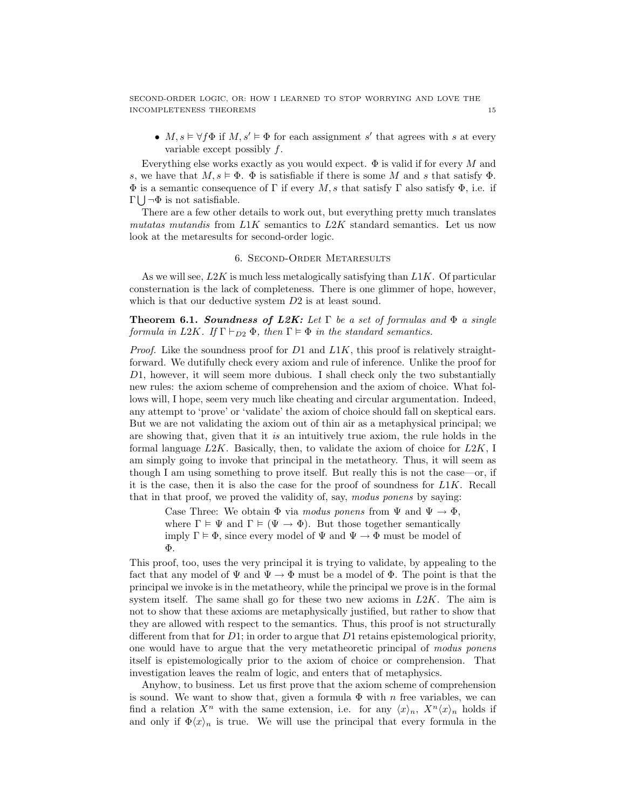•  $M, s \models \forall f \Phi$  if  $M, s' \models \Phi$  for each assignment s' that agrees with s at every variable except possibly f.

Everything else works exactly as you would expect.  $\Phi$  is valid if for every M and s, we have that  $M, s \models \Phi$ .  $\Phi$  is satisfiable if there is some M and s that satisfy  $\Phi$ .  $\Phi$  is a semantic consequence of  $\Gamma$  if every M, s that satisfy  $\Gamma$  also satisfy  $\Phi$ , i.e. if  $\Gamma \bigcup \neg \Phi$  is not satisfiable.

There are a few other details to work out, but everything pretty much translates mutatas mutandis from  $L1K$  semantics to  $L2K$  standard semantics. Let us now look at the metaresults for second-order logic.

#### 6. Second-Order Metaresults

As we will see,  $L2K$  is much less metalogically satisfying than  $L1K$ . Of particular consternation is the lack of completeness. There is one glimmer of hope, however, which is that our deductive system  $D2$  is at least sound.

**Theorem 6.1. Soundness of L2K:** Let  $\Gamma$  be a set of formulas and  $\Phi$  a single formula in L2K. If  $\Gamma \vdash_{D2} \Phi$ , then  $\Gamma \models \Phi$  in the standard semantics.

*Proof.* Like the soundness proof for D1 and  $L1K$ , this proof is relatively straightforward. We dutifully check every axiom and rule of inference. Unlike the proof for D1, however, it will seem more dubious. I shall check only the two substantially new rules: the axiom scheme of comprehension and the axiom of choice. What follows will, I hope, seem very much like cheating and circular argumentation. Indeed, any attempt to 'prove' or 'validate' the axiom of choice should fall on skeptical ears. But we are not validating the axiom out of thin air as a metaphysical principal; we are showing that, given that it is an intuitively true axiom, the rule holds in the formal language  $L2K$ . Basically, then, to validate the axiom of choice for  $L2K$ , I am simply going to invoke that principal in the metatheory. Thus, it will seem as though I am using something to prove itself. But really this is not the case—or, if it is the case, then it is also the case for the proof of soundness for  $L1K$ . Recall that in that proof, we proved the validity of, say, modus ponens by saying:

Case Three: We obtain  $\Phi$  via *modus ponens* from  $\Psi$  and  $\Psi \to \Phi$ , where  $\Gamma \models \Psi$  and  $\Gamma \models (\Psi \rightarrow \Phi)$ . But those together semantically imply  $\Gamma \models \Phi$ , since every model of  $\Psi$  and  $\Psi \rightarrow \Phi$  must be model of Φ.

This proof, too, uses the very principal it is trying to validate, by appealing to the fact that any model of  $\Psi$  and  $\Psi \to \Phi$  must be a model of  $\Phi$ . The point is that the principal we invoke is in the metatheory, while the principal we prove is in the formal system itself. The same shall go for these two new axioms in  $L2K$ . The aim is not to show that these axioms are metaphysically justified, but rather to show that they are allowed with respect to the semantics. Thus, this proof is not structurally different from that for  $D1$ ; in order to argue that  $D1$  retains epistemological priority, one would have to argue that the very metatheoretic principal of modus ponens itself is epistemologically prior to the axiom of choice or comprehension. That investigation leaves the realm of logic, and enters that of metaphysics.

Anyhow, to business. Let us first prove that the axiom scheme of comprehension is sound. We want to show that, given a formula  $\Phi$  with n free variables, we can find a relation  $X^n$  with the same extension, i.e. for any  $\langle x \rangle_n$ ,  $X^n \langle x \rangle_n$  holds if and only if  $\Phi\langle x\rangle_n$  is true. We will use the principal that every formula in the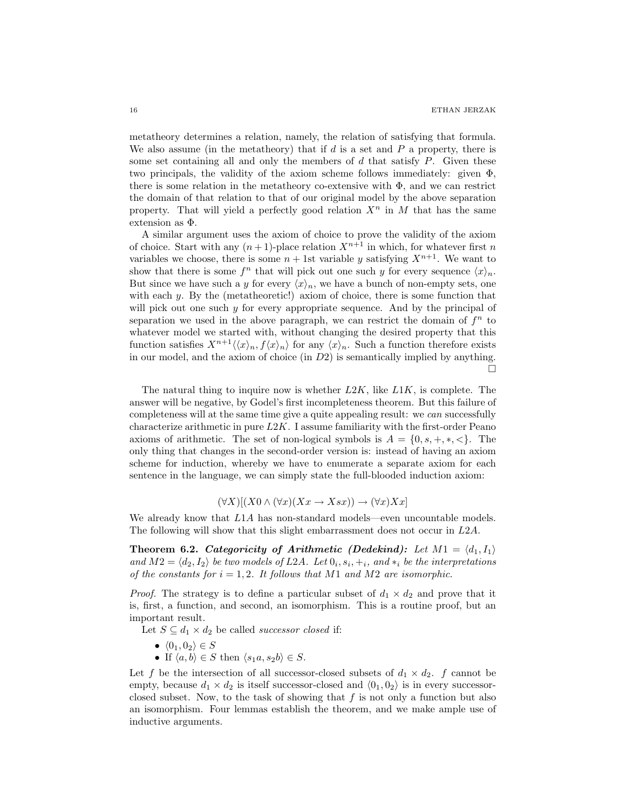metatheory determines a relation, namely, the relation of satisfying that formula. We also assume (in the metatheory) that if  $d$  is a set and  $P$  a property, there is some set containing all and only the members of  $d$  that satisfy  $P$ . Given these two principals, the validity of the axiom scheme follows immediately: given Φ, there is some relation in the metatheory co-extensive with  $\Phi$ , and we can restrict the domain of that relation to that of our original model by the above separation property. That will yield a perfectly good relation  $X^n$  in M that has the same extension as Φ.

A similar argument uses the axiom of choice to prove the validity of the axiom of choice. Start with any  $(n+1)$ -place relation  $X^{n+1}$  in which, for whatever first n variables we choose, there is some  $n + 1$ st variable y satisfying  $X^{n+1}$ . We want to show that there is some  $f^n$  that will pick out one such y for every sequence  $\langle x \rangle_n$ . But since we have such a y for every  $\langle x \rangle_n$ , we have a bunch of non-empty sets, one with each y. By the (metatheoretic!) axiom of choice, there is some function that will pick out one such y for every appropriate sequence. And by the principal of separation we used in the above paragraph, we can restrict the domain of  $f<sup>n</sup>$  to whatever model we started with, without changing the desired property that this function satisfies  $X^{n+1}\langle\langle x\rangle_n, f\langle x\rangle_n\rangle$  for any  $\langle x\rangle_n$ . Such a function therefore exists in our model, and the axiom of choice (in D2) is semantically implied by anything. П

The natural thing to inquire now is whether  $L2K$ , like  $L1K$ , is complete. The answer will be negative, by Godel's first incompleteness theorem. But this failure of completeness will at the same time give a quite appealing result: we can successfully characterize arithmetic in pure  $L2K$ . I assume familiarity with the first-order Peano axioms of arithmetic. The set of non-logical symbols is  $A = \{0, s, +, *, <\}.$  The only thing that changes in the second-order version is: instead of having an axiom scheme for induction, whereby we have to enumerate a separate axiom for each sentence in the language, we can simply state the full-blooded induction axiom:

$$
(\forall X)[(X0 \land (\forall x)(Xx \to Xsx)) \to (\forall x)Xx]
$$

We already know that  $L1A$  has non-standard models—even uncountable models. The following will show that this slight embarrassment does not occur in L2A.

Theorem 6.2. Categoricity of Arithmetic (Dedekind): Let  $M1 = \langle d_1, I_1 \rangle$ and  $M2 = \langle d_2, I_2 \rangle$  be two models of L2A. Let  $0_i, s_i, +_i$ , and  $*_i$  be the interpretations of the constants for  $i = 1, 2$ . It follows that M1 and M2 are isomorphic.

*Proof.* The strategy is to define a particular subset of  $d_1 \times d_2$  and prove that it is, first, a function, and second, an isomorphism. This is a routine proof, but an important result.

Let  $S \subseteq d_1 \times d_2$  be called *successor closed* if:

- $\langle 0_1, 0_2 \rangle \in S$
- If  $\langle a, b \rangle \in S$  then  $\langle s_1 a, s_2 b \rangle \in S$ .

Let f be the intersection of all successor-closed subsets of  $d_1 \times d_2$ . f cannot be empty, because  $d_1 \times d_2$  is itself successor-closed and  $\langle 0_1, 0_2 \rangle$  is in every successorclosed subset. Now, to the task of showing that  $f$  is not only a function but also an isomorphism. Four lemmas establish the theorem, and we make ample use of inductive arguments.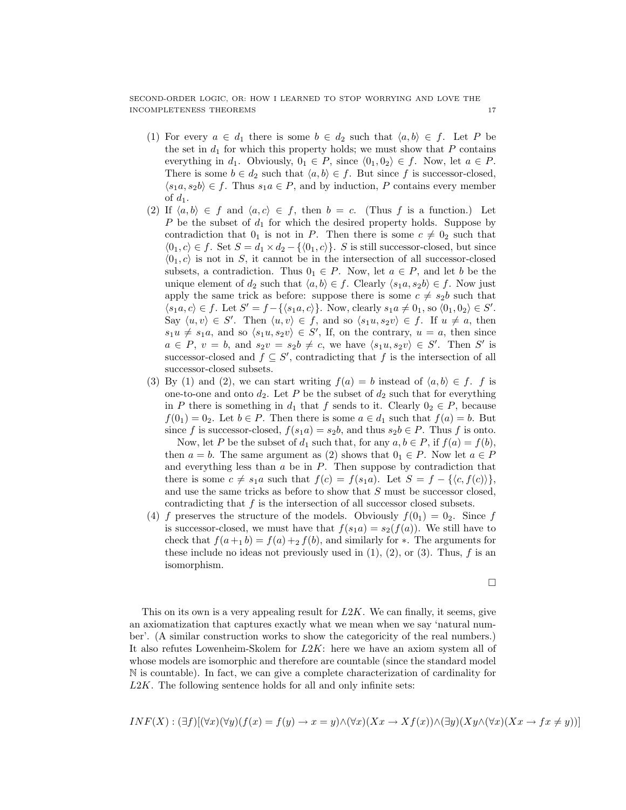- (1) For every  $a \in d_1$  there is some  $b \in d_2$  such that  $\langle a, b \rangle \in f$ . Let P be the set in  $d_1$  for which this property holds; we must show that P contains everything in  $d_1$ . Obviously,  $0_1 \in P$ , since  $\langle 0_1, 0_2 \rangle \in f$ . Now, let  $a \in P$ . There is some  $b \in d_2$  such that  $\langle a, b \rangle \in f$ . But since f is successor-closed,  $\langle s_1a, s_2b \rangle \in f$ . Thus  $s_1a \in P$ , and by induction, P contains every member of  $d_1$ .
- (2) If  $\langle a, b \rangle \in f$  and  $\langle a, c \rangle \in f$ , then  $b = c$ . (Thus f is a function.) Let P be the subset of  $d_1$  for which the desired property holds. Suppose by contradiction that  $0_1$  is not in P. Then there is some  $c \neq 0_2$  such that  $\langle 0_1, c \rangle \in f$ . Set  $S = d_1 \times d_2 - \{\langle 0_1, c \rangle\}$ . S is still successor-closed, but since  $\langle 0_1, c \rangle$  is not in S, it cannot be in the intersection of all successor-closed subsets, a contradiction. Thus  $0<sub>1</sub> \in P$ . Now, let  $a \in P$ , and let b be the unique element of  $d_2$  such that  $\langle a, b \rangle \in f$ . Clearly  $\langle s_1a, s_2b \rangle \in f$ . Now just apply the same trick as before: suppose there is some  $c \neq s_2b$  such that  $\langle s_1a, c \rangle \in f$ . Let  $S' = f - \{\langle s_1a, c \rangle\}$ . Now, clearly  $s_1a \neq 0_1$ , so  $\langle 0_1, 0_2 \rangle \in S'$ . Say  $\langle u, v \rangle \in S'$ . Then  $\langle u, v \rangle \in f$ , and so  $\langle s_1u, s_2v \rangle \in f$ . If  $u \neq a$ , then  $s_1u \neq s_1a$ , and so  $\langle s_1u, s_2v \rangle \in S'$ , If, on the contrary,  $u = a$ , then since  $a \in P$ ,  $v = b$ , and  $s_2v = s_2b \neq c$ , we have  $\langle s_1u, s_2v \rangle \in S'$ . Then S' is successor-closed and  $f \subseteq S'$ , contradicting that f is the intersection of all successor-closed subsets.
- (3) By (1) and (2), we can start writing  $f(a) = b$  instead of  $\langle a, b \rangle \in f$ . f is one-to-one and onto  $d_2$ . Let P be the subset of  $d_2$  such that for everything in P there is something in  $d_1$  that f sends to it. Clearly  $0_2 \in P$ , because  $f(0_1) = 0_2$ . Let  $b \in P$ . Then there is some  $a \in d_1$  such that  $f(a) = b$ . But since f is successor-closed,  $f(s_1a) = s_2b$ , and thus  $s_2b \in P$ . Thus f is onto.

Now, let P be the subset of  $d_1$  such that, for any  $a, b \in P$ , if  $f(a) = f(b)$ , then  $a = b$ . The same argument as (2) shows that  $0<sub>1</sub> \in P$ . Now let  $a \in P$ and everything less than  $a$  be in  $P$ . Then suppose by contradiction that there is some  $c \neq s_1a$  such that  $f(c) = f(s_1a)$ . Let  $S = f - \{\langle c, f(c) \rangle\},\$ and use the same tricks as before to show that S must be successor closed, contradicting that  $f$  is the intersection of all successor closed subsets.

(4) f preserves the structure of the models. Obviously  $f(0_1) = 0_2$ . Since f is successor-closed, we must have that  $f(s_1a) = s_2(f(a))$ . We still have to check that  $f(a+1 b) = f(a)+2 f(b)$ , and similarly for  $\ast$ . The arguments for these include no ideas not previously used in  $(1), (2),$  or  $(3)$ . Thus, f is an isomorphism.

 $\Box$ 

This on its own is a very appealing result for  $L2K$ . We can finally, it seems, give an axiomatization that captures exactly what we mean when we say 'natural number'. (A similar construction works to show the categoricity of the real numbers.) It also refutes Lowenheim-Skolem for L2K: here we have an axiom system all of whose models are isomorphic and therefore are countable (since the standard model N is countable). In fact, we can give a complete characterization of cardinality for L2K. The following sentence holds for all and only infinite sets:

$$
INF(X): (\exists f)[(\forall x)(\forall y)(f(x) = f(y) \rightarrow x = y) \land (\forall x)(Xx \rightarrow Xf(x)) \land (\exists y)(Xy \land (\forall x)(Xx \rightarrow fx \neq y))]
$$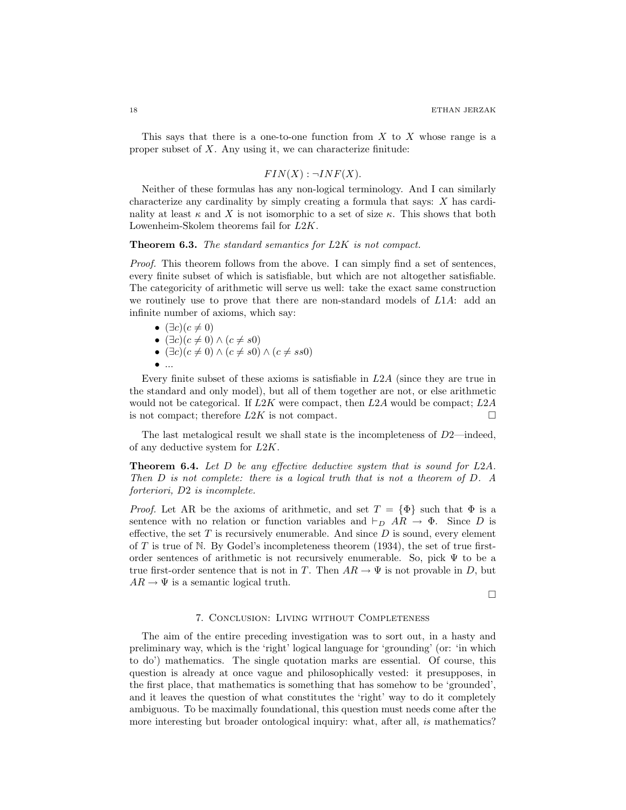This says that there is a one-to-one function from  $X$  to  $X$  whose range is a proper subset of  $X$ . Any using it, we can characterize finitude:

### $FIN(X): \neg INF(X).$

Neither of these formulas has any non-logical terminology. And I can similarly characterize any cardinality by simply creating a formula that says: X has cardinality at least  $\kappa$  and X is not isomorphic to a set of size  $\kappa$ . This shows that both Lowenheim-Skolem theorems fail for L2K.

#### **Theorem 6.3.** The standard semantics for L2K is not compact.

Proof. This theorem follows from the above. I can simply find a set of sentences, every finite subset of which is satisfiable, but which are not altogether satisfiable. The categoricity of arithmetic will serve us well: take the exact same construction we routinely use to prove that there are non-standard models of L1A: add an infinite number of axioms, which say:

- $(\exists c)(c \neq 0)$ •  $(\exists c)(c \neq 0) \wedge (c \neq s0)$
- $(\exists c)(c \neq 0) \land (c \neq s0) \land (c \neq ss0)$
- $\bullet$  ...

Every finite subset of these axioms is satisfiable in L2A (since they are true in the standard and only model), but all of them together are not, or else arithmetic would not be categorical. If  $L2K$  were compact, then  $L2A$  would be compact;  $L2A$ is not compact; therefore  $L2K$  is not compact.

The last metalogical result we shall state is the incompleteness of  $D2$ —indeed, of any deductive system for L2K.

**Theorem 6.4.** Let  $D$  be any effective deductive system that is sound for  $L2A$ . Then D is not complete: there is a logical truth that is not a theorem of D. A forteriori, D2 is incomplete.

*Proof.* Let AR be the axioms of arithmetic, and set  $T = {\Phi}$  such that  $\Phi$  is a sentence with no relation or function variables and  $\vdash_D AR \to \Phi$ . Since D is effective, the set  $T$  is recursively enumerable. And since  $D$  is sound, every element of  $T$  is true of  $N$ . By Godel's incompleteness theorem (1934), the set of true firstorder sentences of arithmetic is not recursively enumerable. So, pick  $\Psi$  to be a true first-order sentence that is not in T. Then  $AR \to \Psi$  is not provable in D, but  $AR \to \Psi$  is a semantic logical truth.

 $\Box$ 

#### 7. Conclusion: Living without Completeness

The aim of the entire preceding investigation was to sort out, in a hasty and preliminary way, which is the 'right' logical language for 'grounding' (or: 'in which to do') mathematics. The single quotation marks are essential. Of course, this question is already at once vague and philosophically vested: it presupposes, in the first place, that mathematics is something that has somehow to be 'grounded', and it leaves the question of what constitutes the 'right' way to do it completely ambiguous. To be maximally foundational, this question must needs come after the more interesting but broader ontological inquiry: what, after all, is mathematics?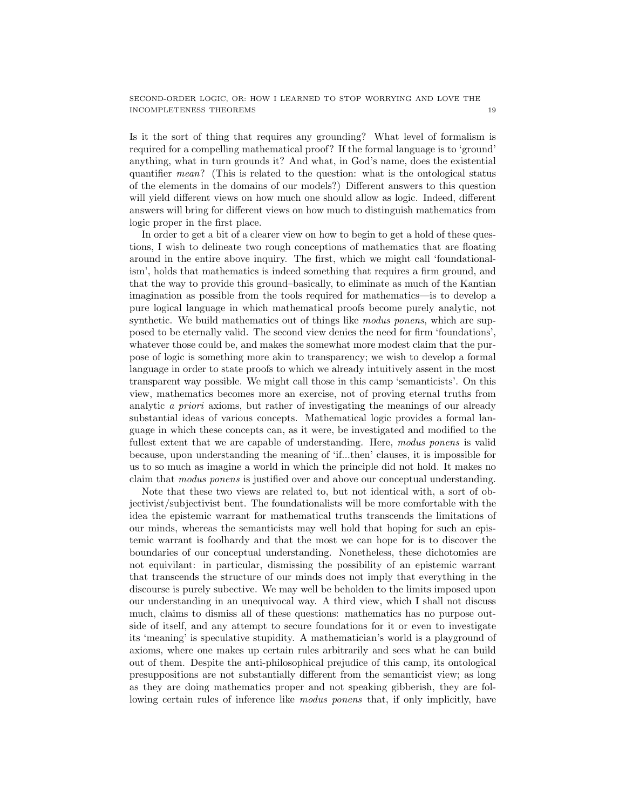Is it the sort of thing that requires any grounding? What level of formalism is required for a compelling mathematical proof? If the formal language is to 'ground' anything, what in turn grounds it? And what, in God's name, does the existential quantifier mean? (This is related to the question: what is the ontological status of the elements in the domains of our models?) Different answers to this question will yield different views on how much one should allow as logic. Indeed, different answers will bring for different views on how much to distinguish mathematics from logic proper in the first place.

In order to get a bit of a clearer view on how to begin to get a hold of these questions, I wish to delineate two rough conceptions of mathematics that are floating around in the entire above inquiry. The first, which we might call 'foundationalism', holds that mathematics is indeed something that requires a firm ground, and that the way to provide this ground–basically, to eliminate as much of the Kantian imagination as possible from the tools required for mathematics—is to develop a pure logical language in which mathematical proofs become purely analytic, not synthetic. We build mathematics out of things like modus ponens, which are supposed to be eternally valid. The second view denies the need for firm 'foundations', whatever those could be, and makes the somewhat more modest claim that the purpose of logic is something more akin to transparency; we wish to develop a formal language in order to state proofs to which we already intuitively assent in the most transparent way possible. We might call those in this camp 'semanticists'. On this view, mathematics becomes more an exercise, not of proving eternal truths from analytic a priori axioms, but rather of investigating the meanings of our already substantial ideas of various concepts. Mathematical logic provides a formal language in which these concepts can, as it were, be investigated and modified to the fullest extent that we are capable of understanding. Here, modus ponens is valid because, upon understanding the meaning of 'if...then' clauses, it is impossible for us to so much as imagine a world in which the principle did not hold. It makes no claim that modus ponens is justified over and above our conceptual understanding.

Note that these two views are related to, but not identical with, a sort of objectivist/subjectivist bent. The foundationalists will be more comfortable with the idea the epistemic warrant for mathematical truths transcends the limitations of our minds, whereas the semanticists may well hold that hoping for such an epistemic warrant is foolhardy and that the most we can hope for is to discover the boundaries of our conceptual understanding. Nonetheless, these dichotomies are not equivilant: in particular, dismissing the possibility of an epistemic warrant that transcends the structure of our minds does not imply that everything in the discourse is purely subective. We may well be beholden to the limits imposed upon our understanding in an unequivocal way. A third view, which I shall not discuss much, claims to dismiss all of these questions: mathematics has no purpose outside of itself, and any attempt to secure foundations for it or even to investigate its 'meaning' is speculative stupidity. A mathematician's world is a playground of axioms, where one makes up certain rules arbitrarily and sees what he can build out of them. Despite the anti-philosophical prejudice of this camp, its ontological presuppositions are not substantially different from the semanticist view; as long as they are doing mathematics proper and not speaking gibberish, they are following certain rules of inference like *modus ponens* that, if only implicitly, have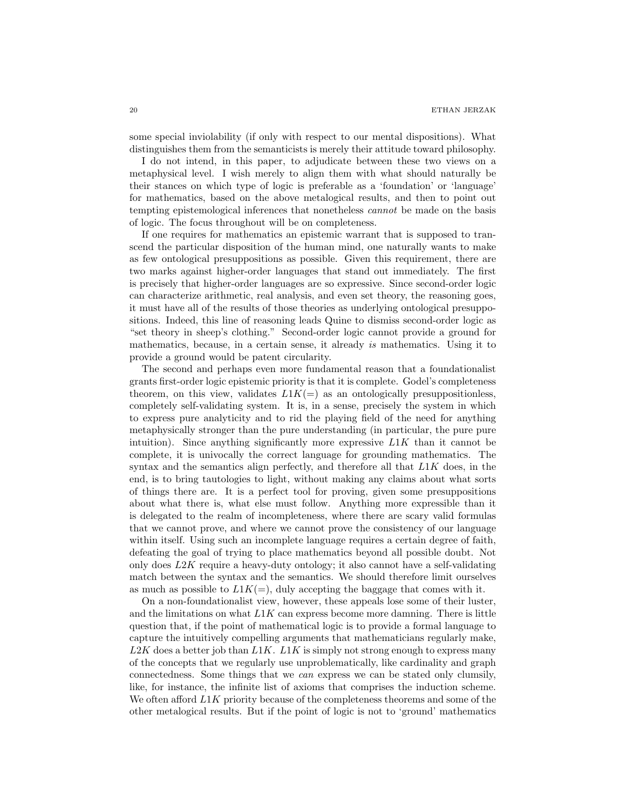some special inviolability (if only with respect to our mental dispositions). What distinguishes them from the semanticists is merely their attitude toward philosophy.

I do not intend, in this paper, to adjudicate between these two views on a metaphysical level. I wish merely to align them with what should naturally be their stances on which type of logic is preferable as a 'foundation' or 'language' for mathematics, based on the above metalogical results, and then to point out tempting epistemological inferences that nonetheless cannot be made on the basis of logic. The focus throughout will be on completeness.

If one requires for mathematics an epistemic warrant that is supposed to transcend the particular disposition of the human mind, one naturally wants to make as few ontological presuppositions as possible. Given this requirement, there are two marks against higher-order languages that stand out immediately. The first is precisely that higher-order languages are so expressive. Since second-order logic can characterize arithmetic, real analysis, and even set theory, the reasoning goes, it must have all of the results of those theories as underlying ontological presuppositions. Indeed, this line of reasoning leads Quine to dismiss second-order logic as "set theory in sheep's clothing." Second-order logic cannot provide a ground for mathematics, because, in a certain sense, it already is mathematics. Using it to provide a ground would be patent circularity.

The second and perhaps even more fundamental reason that a foundationalist grants first-order logic epistemic priority is that it is complete. Godel's completeness theorem, on this view, validates  $L1K(=)$  as an ontologically presuppositionless, completely self-validating system. It is, in a sense, precisely the system in which to express pure analyticity and to rid the playing field of the need for anything metaphysically stronger than the pure understanding (in particular, the pure pure intuition). Since anything significantly more expressive  $L1K$  than it cannot be complete, it is univocally the correct language for grounding mathematics. The syntax and the semantics align perfectly, and therefore all that  $L1K$  does, in the end, is to bring tautologies to light, without making any claims about what sorts of things there are. It is a perfect tool for proving, given some presuppositions about what there is, what else must follow. Anything more expressible than it is delegated to the realm of incompleteness, where there are scary valid formulas that we cannot prove, and where we cannot prove the consistency of our language within itself. Using such an incomplete language requires a certain degree of faith, defeating the goal of trying to place mathematics beyond all possible doubt. Not only does  $L2K$  require a heavy-duty ontology; it also cannot have a self-validating match between the syntax and the semantics. We should therefore limit ourselves as much as possible to  $L1K(=)$ , duly accepting the baggage that comes with it.

On a non-foundationalist view, however, these appeals lose some of their luster, and the limitations on what  $L1K$  can express become more damning. There is little question that, if the point of mathematical logic is to provide a formal language to capture the intuitively compelling arguments that mathematicians regularly make,  $L2K$  does a better job than  $L1K$ .  $L1K$  is simply not strong enough to express many of the concepts that we regularly use unproblematically, like cardinality and graph connectedness. Some things that we can express we can be stated only clumsily, like, for instance, the infinite list of axioms that comprises the induction scheme. We often afford  $L1K$  priority because of the completeness theorems and some of the other metalogical results. But if the point of logic is not to 'ground' mathematics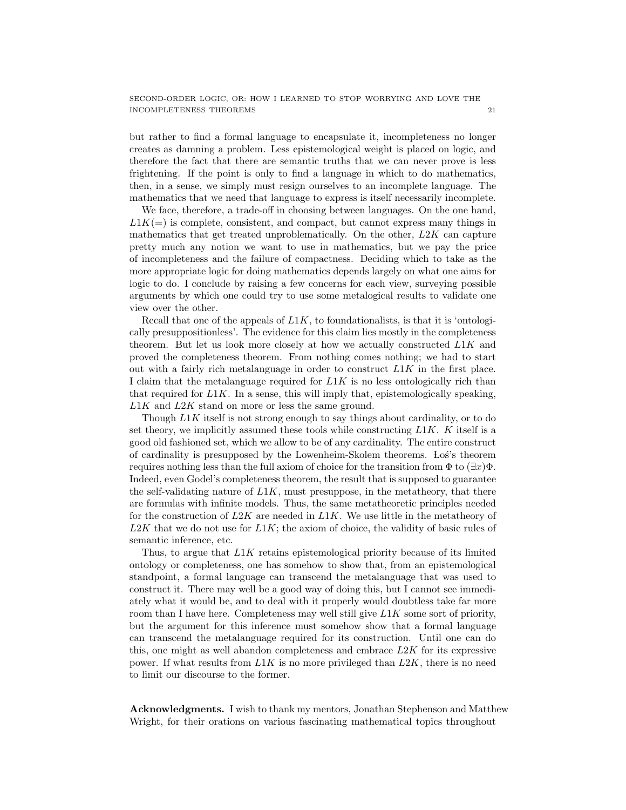but rather to find a formal language to encapsulate it, incompleteness no longer creates as damning a problem. Less epistemological weight is placed on logic, and therefore the fact that there are semantic truths that we can never prove is less frightening. If the point is only to find a language in which to do mathematics, then, in a sense, we simply must resign ourselves to an incomplete language. The mathematics that we need that language to express is itself necessarily incomplete.

We face, therefore, a trade-off in choosing between languages. On the one hand,  $L1K(=)$  is complete, consistent, and compact, but cannot express many things in mathematics that get treated unproblematically. On the other,  $L2K$  can capture pretty much any notion we want to use in mathematics, but we pay the price of incompleteness and the failure of compactness. Deciding which to take as the more appropriate logic for doing mathematics depends largely on what one aims for logic to do. I conclude by raising a few concerns for each view, surveying possible arguments by which one could try to use some metalogical results to validate one view over the other.

Recall that one of the appeals of  $L1K$ , to foundationalists, is that it is 'ontologically presuppositionless'. The evidence for this claim lies mostly in the completeness theorem. But let us look more closely at how we actually constructed L1K and proved the completeness theorem. From nothing comes nothing; we had to start out with a fairly rich metalanguage in order to construct  $L1K$  in the first place. I claim that the metalanguage required for  $L1K$  is no less ontologically rich than that required for  $L1K$ . In a sense, this will imply that, epistemologically speaking,  $L1K$  and  $L2K$  stand on more or less the same ground.

Though L1K itself is not strong enough to say things about cardinality, or to do set theory, we implicitly assumed these tools while constructing  $L1K$ . K itself is a good old fashioned set, which we allow to be of any cardinality. The entire construct of cardinality is presupposed by the Lowenheim-Skolem theorems. Los's theorem requires nothing less than the full axiom of choice for the transition from  $\Phi$  to  $(\exists x)\Phi$ . Indeed, even Godel's completeness theorem, the result that is supposed to guarantee the self-validating nature of  $L1K$ , must presuppose, in the metatheory, that there are formulas with infinite models. Thus, the same metatheoretic principles needed for the construction of  $L2K$  are needed in  $L1K$ . We use little in the metatheory of  $L2K$  that we do not use for  $L1K$ ; the axiom of choice, the validity of basic rules of semantic inference, etc.

Thus, to argue that L1K retains epistemological priority because of its limited ontology or completeness, one has somehow to show that, from an epistemological standpoint, a formal language can transcend the metalanguage that was used to construct it. There may well be a good way of doing this, but I cannot see immediately what it would be, and to deal with it properly would doubtless take far more room than I have here. Completeness may well still give  $L1K$  some sort of priority, but the argument for this inference must somehow show that a formal language can transcend the metalanguage required for its construction. Until one can do this, one might as well abandon completeness and embrace  $L2K$  for its expressive power. If what results from  $L1K$  is no more privileged than  $L2K$ , there is no need to limit our discourse to the former.

Acknowledgments. I wish to thank my mentors, Jonathan Stephenson and Matthew Wright, for their orations on various fascinating mathematical topics throughout